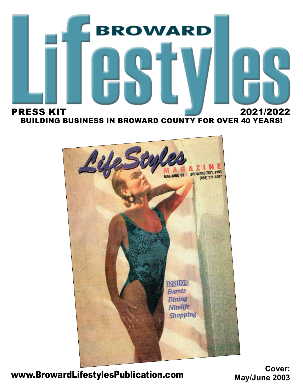



www.BrowardLifestylesPublication.com

**Cover: May/June 2003**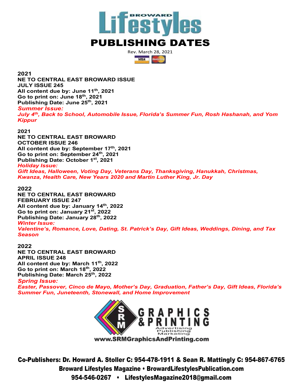

Rev. March 28, 2021  $V/SA$ **Ancientum** 

**2021**

**NE TO CENTRAL EAST BROWARD ISSUE JULY ISSUE 245 All content due by: June 11th, 2021 Go to print on: June 18th, 2021 Publishing Date: June 25th, 2021** *Summer Issue: July 4th, Back to School, Automobile Issue, Florida's Summer Fun, Rosh Hashanah, and Yom* 

*Kippur*

**2021**

**NE TO CENTRAL EAST BROWARD OCTOBER ISSUE 246 All content due by: September 17th, 2021 Go to print on: September 24th, 2021 Publishing Date: October 1st, 2021** *Holiday Issue:*

*Gift Ideas, Halloween, Voting Day, Veterans Day, Thanksgiving, Hanukkah, Christmas, Kwanza, Health Care, New Years 2020 and Martin Luther King, Jr. Day*

**2022**

**NE TO CENTRAL EAST BROWARD FEBRUARY ISSUE 247 All content due by: January 14th, 2022 Go to print on: January 21st, 2022 Publishing Date: January 28th, 2022** *Winter Issue: Valentine's, Romance, Love, Dating, St. Patrick's Day, Gift Ideas, Weddings, Dining, and Tax Season*

**2022 NE TO CENTRAL EAST BROWARD APRIL ISSUE 248 All content due by: March 11th, 2022 Go to print on: March 18th, 2022 Publishing Date: March 25th, 2022**

*Spring Issue:*

*Easter, Passover, Cinco de Mayo, Mother's Day, Graduation, Father's Day, Gift Ideas, Florida's Summer Fun, Juneteenth, Stonewall, and Home Improvement*



Co-Publishers: Dr. Howard A. Stoller C: 954-478-1911 & Sean R. Mattingly C: 954-867-6765 Broward Lifestyles Magazine • BrowardLifestylesPublication.com 954-546-0267 • LifestylesMagazine2018@gmail.com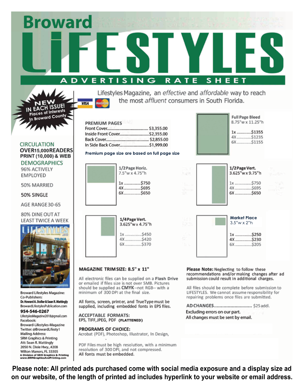**Broward DVERTISING** RATE **SHEET** 

SUE! **Naces of Interests** In Broward County

**VISA** 

Lifestyles Magazine, an effective and affordable way to reach the most *affluent* consumers in South Florida.

#### Premium page size are based on full page size

1/4 Page Vert.

3.625"w x 4.75"h

1x ...............\$450

4X................\$420

6X................\$370

| 1/2 Page Horiz.<br>7.5"w x 4.75"h |
|-----------------------------------|
| 1x \$750<br>4X \$695              |

| <b>Full Page Bleed</b><br>8.75"w x 11.25"h |
|--------------------------------------------|
| 1x \$1355<br>6X \$1155                     |



4X ...............\$230 6X.................. \$205

#### MAGAZINE TRIM SIZE: 8.5" x 11"

All electronic files can be supplied on a Flash Drive or emailed if files size is not over 5MB. Pictures should be supplied as CMYK--not RGB-- with a minimum of 300 DPI at the final size.

All fonts, screen, printer, and TrueType must be supplied, including embedded fonts in EPS files.

**ACCEPTABLE FORMATS:** EPS, TIFF, JPEG, PDF (FLATTENED)

#### PROGRAMS OF CHOICE:

Acrobat (PDF), Photoshop, Illustrator, In Design,

PDF Files must be high resolution, with a minimum resolution of 300 DPI, and not compressed. All fonts must be embedded.

Please note: All printed ads purchased come with social media exposure and a display size ad on our website, of the length of printed ad includes hyperlink to your website or email address.

Please Note: Neglecting to follow these recommendations and/or making changes after ad submission could result in additional charges.

All files should be complete before submission to LIFESTYLES. We cannot assume responsibility for repairing problems once files are submitted.

AD CHANGES.............................. \$25 addl. Excluding errors on our part. All changes must be sent by email.

#### **CIRCULATION** OVER15.000READERS PRINT (10,000) & WEB **DEMOGRAPHICS**

96% ACTIVELY **EMPLOYED** 

50% MARRIED

50% SINGLE

AGE RANGE 30-65

80% DINE OUT AT LEAST TWICE A WEEK



**Broward Lifestyles Magazine:** Co-Publishers: Dr. Howard A. Stoller & Sean R. Mattingly BrowardLifestylesPublication.com 954-546-0267 LifestylesMagazine2018@gmail.com Facebook: Broward-Lifestyles-Magazine Twitter: @BrowardLifesty1 **Mailing Address: SRM Graphics & Printing** Att: Sean R. Mattingly 2050 N. Dixie Hwy., #208 Wilton Manors, FL 33305 **A Division of SRM Graphics & Printing<br>www.SRMGraphicsAndPrinting.com**